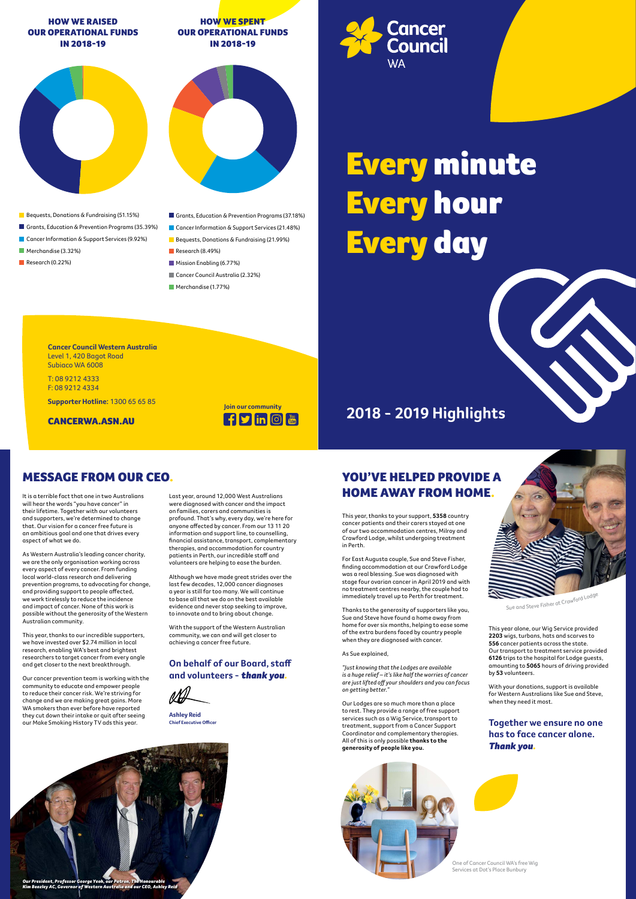



## MESSAGE FROM OUR CEO. YOU'VE HELPED PROVIDE A It is a terrible fact that one in two Australians Last year, around 12,000 West Australians **HOME AWAY FROM HOME**.

# Every minute Every hour Every day

**Cancer** 

**Council** 

**WA** 

## **2018 - 2019 Highlights**

will hear the words "you have cancer" in their lifetime. Together with our volunteers and supporters, we're determined to change that. Our vision for a cancer free future is an ambitious goal and one that drives every aspect of what we do.

As Western Australia's leading cancer charity, we are the only organisation working across every aspect of every cancer. From funding local world-class research and delivering prevention programs, to advocating for change, and providing support to people affected, we work tirelessly to reduce the incidence and impact of cancer. None of this work is possible without the generosity of the Western Australian community.

This year, thanks to our incredible supporters, we have invested over \$2.74 million in local research, enabling WA's best and brightest researchers to target cancer from every angle and get closer to the next breakthrough.

Our cancer prevention team is working with the community to educate and empower people to reduce their cancer risk. We're striving for change and we are making great gains. More WA smokers than ever before have reported they cut down their intake or quit after seeing our Make Smoking History TV ads this year.

This year, thanks to your support, **5358** country cancer patients and their carers stayed at one of our two accommodation centres, Milroy and Crawford Lodge, whilst undergoing treatment in Perth.

For East Augusta couple, Sue and Steve Fisher, finding accommodation at our Crawford Lodge was a real blessing. Sue was diagnosed with stage four ovarian cancer in April 2019 and with no treatment centres nearby, the couple had to immediately travel up to Perth for treatment.

Thanks to the generosity of supporters like you, Sue and Steve have found a home away from home for over six months, helping to ease some of the extra burdens faced by country people when they are diagnosed with cancer.

As Sue explained,

*"Just knowing that the Lodges are available is a huge relief – it's like half the worries of cancer are just lifted off your shoulders and you can focus on getting better."*

Our Lodges are so much more than a place to rest. They provide a range of free support services such as a Wig Service, transport to treatment, support from a Cancer Support Coordinator and complementary therapies. All of this is only possible **thanks to the generosity of people like you.** 

Last year, around 12,000 West Australians were diagnosed with cancer and the impact on families, carers and communities is profound. That's why, every day, we're here for anyone affected by cancer. From our 13 11 20 information and support line, to counselling, financial assistance, transport, complementary therapies, and accommodation for country patients in Perth, our incredible staff and volunteers are helping to ease the burden.

Although we have made great strides over the last few decades, 12,000 cancer diagnoses a year is still far too many. We will continue to base all that we do on the best available evidence and never stop seeking to improve, to innovate and to bring about change.

With the support of the Western Australian community, we can and will get closer to achieving a cancer free future.

### **On behalf of our Board, staff and volunteers -** *thank you.*

This year alone, our Wig Service provided **2203** wigs, turbans, hats and scarves to **556** cancer patients across the state. Our transport to treatment service provided **6126** trips to the hospital for Lodge guests, amounting to **5065** hours of driving provided by **53** volunteers.

With your donations, support is available for Western Australians like Sue and Steve, when they need it most.

### **Together we ensure no one has to face cancer alone.**  *Thank you.*



**Ashley Reid Chief Executive Officer**

### HOW WE RAISED OUR OPERATIONAL FUNDS IN 2018-19

## HOW WE SPENT OUR OPERATIONAL FUNDS IN 2018-19





- Bequests, Donations & Fundraising (51.15%)
- Grants, Education & Prevention Programs (35.39%)
- Cancer Information & Support Services (9.92%)
- Merchandise (3.32%)
- Research (0.22%)
- Grants, Education & Prevention Programs (37.18%)
- Cancer Information & Support Services (21.48%)
- Bequests, Donations & Fundraising (21.99%)
- Research (8.49%)
- Mission Enabling (6.77%)
- Cancer Council Australia (2.32%)
- Merchandise (1.77%)



**Cancer Council Western Australia** Level 1, 420 Bagot Road Subiaco WA 6008

T: 08 9212 4333 F: 08 9212 4334

**Supporter Hotline:** 1300 65 65 85

CANCERWA.ASN.AU

One of Cancer Council WA's free Wig Services at Dot's Place Bunbury